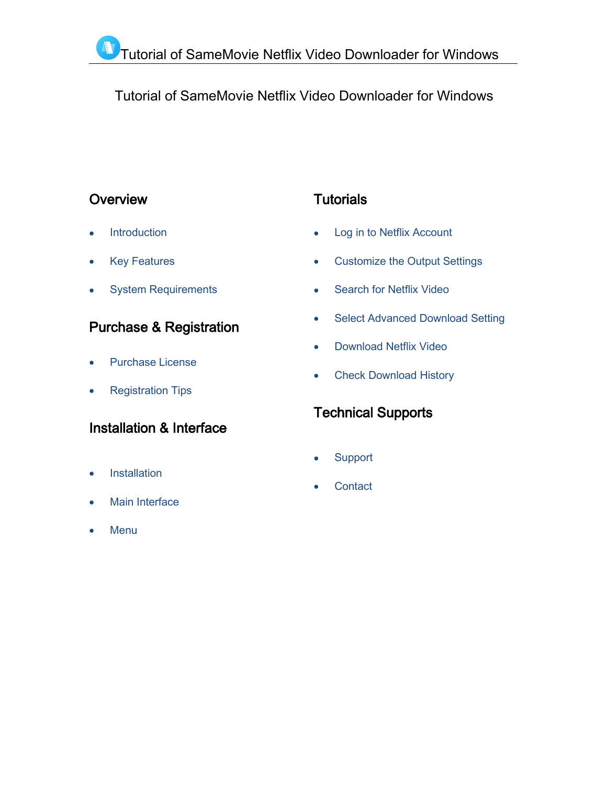# Tutorial of SameMovie Netflix Video Downloader for Windows

## **Overview**

- **[Introduction](#page-1-0)**
- Key [Features](#page-1-1)
- System [Requirements](#page-1-2)

# Purchase & Registration

- [Purchase](#page-2-0) License
- [Registration](#page-2-1) Tips

## Installation & Interface

- [Installation](#page-4-0)
- Main [Interface](#page-4-1)
- [Menu](#page-5-0)

# **Tutorials**

- Log in to Netflix [Account](#page-6-0)
- [Customize](#page-7-0) the Output Settings
- [Search](#page-7-1) for Netflix Video
- Select [Advanced](#page-8-0) Download Setting
- [Download](#page-8-1) Netflix Video
- Check [Download](#page-9-0) History

# Technical Supports

- **[Support](#page-10-0)**
- **[Contact](#page-10-1)**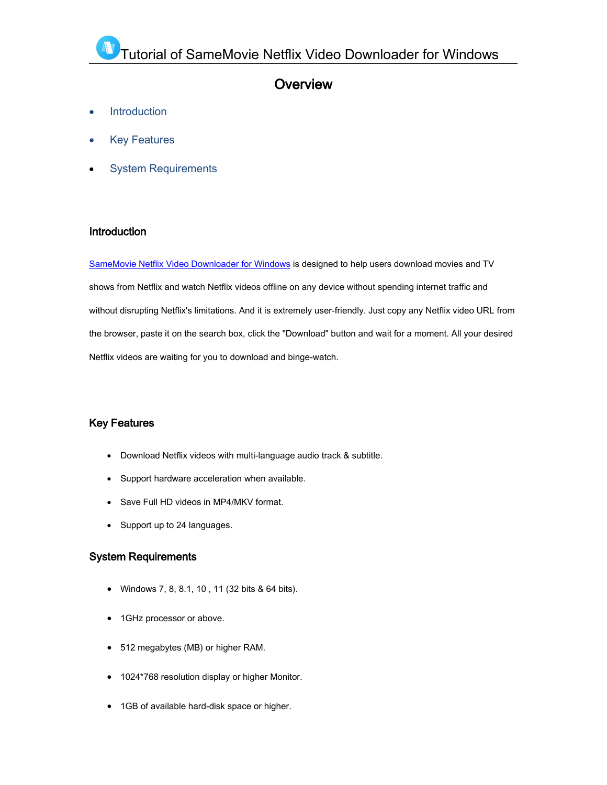### **Overview**

- **[Introduction](#page-1-3)**
- Key [Features](#page-1-4)
- <span id="page-1-3"></span><span id="page-1-0"></span>System [Requirements](#page-1-5)

### Introduction

SameMovie Netflix Video [Downloader](https://www.samemovie.com/netflix-video-downloader.html) for Windows is designed to help users download movies and TV shows from Netflix and watch Netflix videos offline on any device without spending internet traffic and without disrupting Netflix's limitations. And it is extremely user-friendly. Just copy any Netflix video URL from the browser, paste it on the search box, click the "Download" button and wait for a moment. All your desired Netflix videos are waiting for you to download and binge-watch.

### <span id="page-1-5"></span><span id="page-1-4"></span><span id="page-1-2"></span><span id="page-1-1"></span>Key Features

- Download Netflix videos with multi-language audio track & subtitle.
- Support hardware acceleration when available.
- Save Full HD videos in MP4/MKV format.
- Support up to 24 languages.

### System Requirements

- Windows 7, 8, 8.1,10 , 11 (32 bits & 64 bits).
- 1GHz processor or above.
- 512 megabytes (MB) or higher RAM.
- 1024\*768 resolution display or higher Monitor.
- 1GB of available hard-disk space or higher.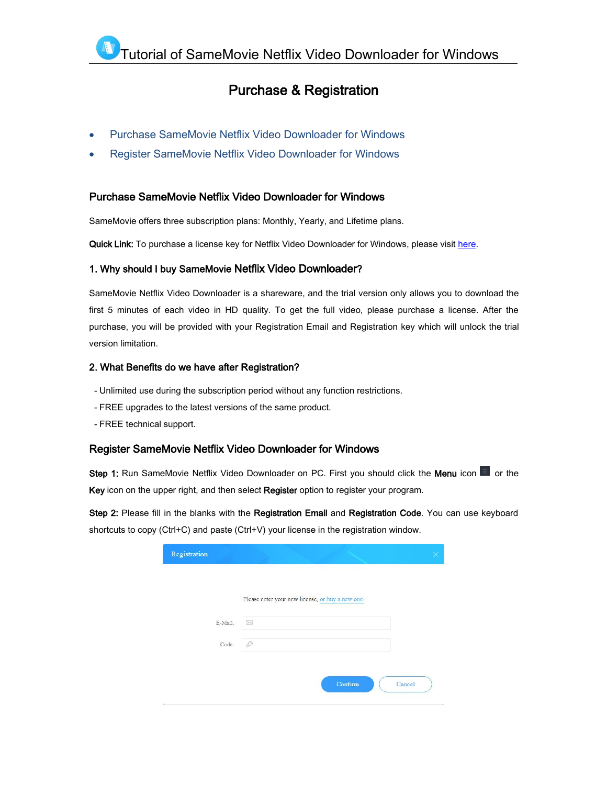### Purchase & Registration

- <span id="page-2-0"></span>Purchase SameMovie Netflix Video [Downloader](#page-2-2) for Windows
- <span id="page-2-2"></span>Register SameMovie Netflix Video [Downloader](#page-2-3) for Windows

#### Purchase SameMovie Netflix Video Downloader for Windows

SameMovie offers three subscription plans: Monthly, Yearly, and Lifetime plans.

Quick Link: To purchase a license key for Netflix Video Downloader for Windows, please visit [here](https://www.samemovie.com/netflix-video-downloader/buynow.html).

#### 1. Why should I buy SameMovie Netflix Video Downloader?

SameMovie Netflix Video Downloader is a shareware, and the trial version only allows you to download the first 5 minutes of each video in HD quality. To get the full video, please purchase a license. After the purchase, you will be provided with your Registration Email and Registration key which will unlock the trial version limitation.

#### 2. What Benefits do we have after Registration?

- Unlimited use during the subscription period without any function restrictions.
- FREE upgrades to the latest versions of the same product.
- <span id="page-2-1"></span>- FREE technical support.

#### <span id="page-2-3"></span>Register SameMovie Netflix Video Downloader for Windows

Step 1: Run SameMovie Netflix Video Downloader on PC. First you should click the Menu icon **Dela** or the Key icon on the upper right, and then select Register option to register your program.

Step 2: Please fill in the blanks with the Registration Email and Registration Code. You can use keyboard shortcuts to copy (Ctrl+C) and paste (Ctrl+V) your license in the registration window.

|         | Please enter your new license, or buy a new one. |  |
|---------|--------------------------------------------------|--|
|         |                                                  |  |
| E-Mail: | $\boxtimes$                                      |  |
| Code:   | P                                                |  |
|         |                                                  |  |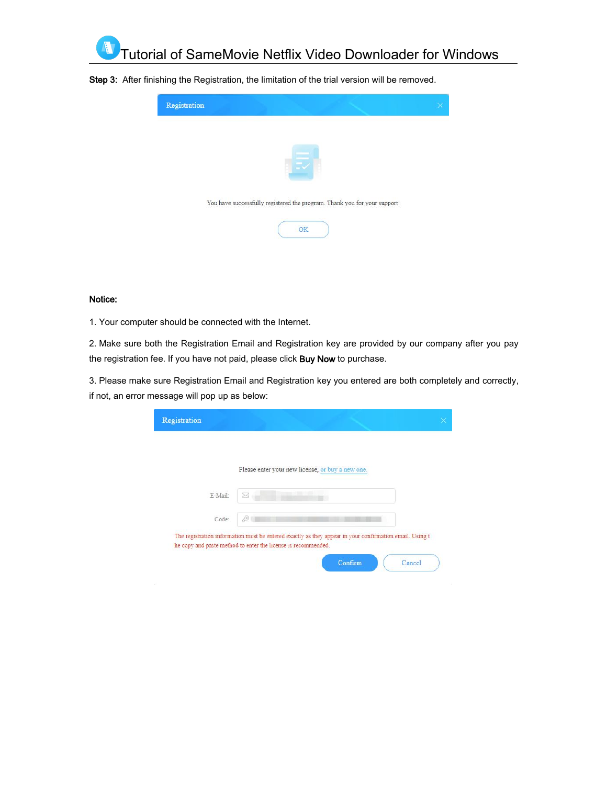

Step 3: After finishing the Registration, the limitation of the trial version will be removed.



#### Notice:

1. Your computer should be connected with the Internet.

2. Make sure both the Registration Email and Registration key are provided by our company after you pay the registration fee. If you have not paid, please click Buy Now to purchase.

3. Please make sure Registration Email and Registration key you entered are both completely and correctly, if not, an error message will pop up as below:

|         | Please enter your new license, or buy a new one.                                                                                                                         |  |
|---------|--------------------------------------------------------------------------------------------------------------------------------------------------------------------------|--|
| E-Mail: | ×                                                                                                                                                                        |  |
| Code:   |                                                                                                                                                                          |  |
|         | The registration information must be entered exactly as they appear in your confirmation email. Using t<br>he copy and paste method to enter the license is recommended. |  |
|         | Confirm<br>Cancel                                                                                                                                                        |  |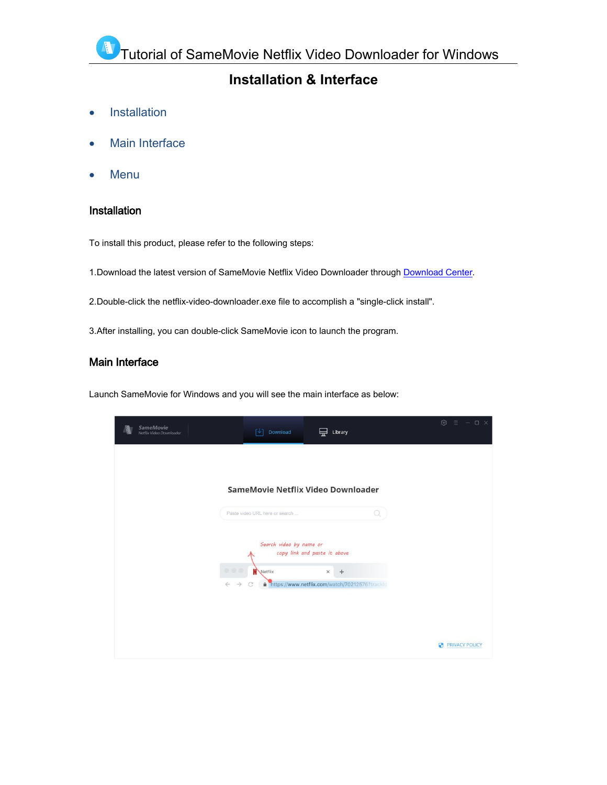## **Installation & Interface**

- [Installation](#page-4-2)
- Main [Interface](#page-4-3)
- [Menu](#page-5-1)

### <span id="page-4-2"></span><span id="page-4-0"></span>Installation

To install this product, please refer to the following steps:

1. [Download](https://www.samemovie.com/download.html) the latest version of SameMovie Netflix Video Downloader through Download Center.

2.Double-click the netflix-video-downloader.exe file to accomplish a "single-click install".

3.After installing, you can double-click SameMovie icon to launch the program.

### <span id="page-4-3"></span><span id="page-4-1"></span>Main Interface

Launch SameMovie for Windows and you will see the main interface as below:

| <b>SameMovie</b><br>Netflix Video Downloader | [J]<br>Download                                                                     | Library<br>닢                                     |   | $\otimes$ $\equiv$ $-\sqcup \times$ |
|----------------------------------------------|-------------------------------------------------------------------------------------|--------------------------------------------------|---|-------------------------------------|
|                                              |                                                                                     |                                                  |   |                                     |
|                                              | SameMovie Netflix Video Downloader                                                  |                                                  |   |                                     |
|                                              | Paste video URL here or search                                                      |                                                  | Q |                                     |
|                                              | Search video by name or                                                             | copy link and paste it above                     |   |                                     |
|                                              | $\begin{array}{c c c c c} \hline \circ & \circ & \circ \end{array}$<br>Netflix<br>C | $\times$<br>$+$                                  |   |                                     |
| $\leftarrow$                                 | $\rightarrow$                                                                       | A https://www.netflix.com/watch/70212576?trackld |   |                                     |
|                                              |                                                                                     |                                                  |   |                                     |
|                                              |                                                                                     |                                                  |   | <b>PRIVACY POLICY</b>               |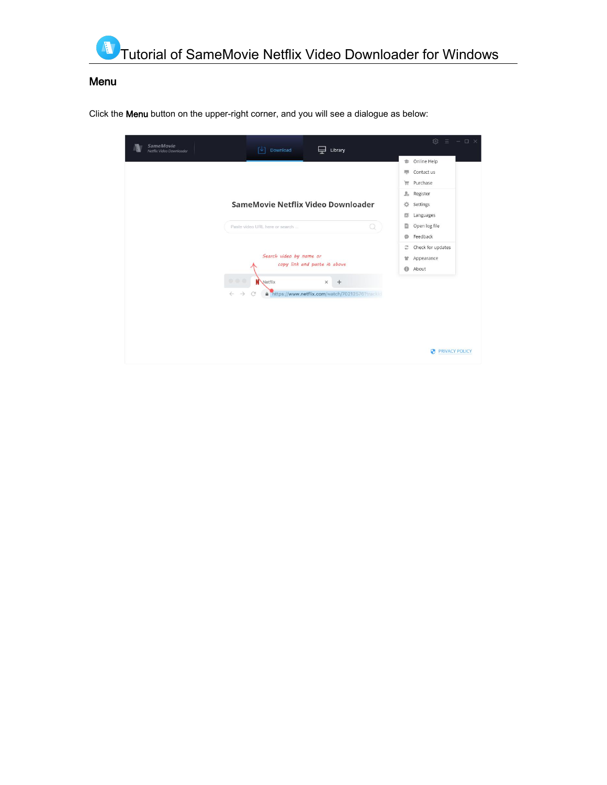<span id="page-5-1"></span><span id="page-5-0"></span>

### Menu

Click the Menu button on the upper-right corner, and you will see a dialogue as below:

| <b>SameMovie</b><br>Download<br>Γ↓Τ<br>Library<br>÷<br>Netflix Video Downloader           | හ<br>$\equiv$ - $\Box$ $\times$  |
|-------------------------------------------------------------------------------------------|----------------------------------|
|                                                                                           | Online Help<br>÷                 |
|                                                                                           | 專<br>Contact us                  |
|                                                                                           | Ħ<br>Purchase                    |
|                                                                                           | $\mathfrak{L}_0$<br>Register     |
| SameMovie Netflix Video Downloader                                                        | 贷<br>Settings                    |
|                                                                                           | Languages<br>圆                   |
| Paste video URL here or search<br>Q                                                       | D<br>Open log file               |
|                                                                                           | Feedback<br>$\Theta$             |
|                                                                                           | Check for updates<br>$\tilde{c}$ |
| Search video by name or<br>copy link and paste it above                                   | Appearance<br>Ħ                  |
|                                                                                           | $\Theta$<br>About                |
| 000<br>N<br>Wetflix<br>×<br>$^{+}$                                                        |                                  |
| https://www.netflix.com/watch/70212576?trackld<br>$\rightarrow$<br>$\leftarrow$<br>C<br>⋒ |                                  |
|                                                                                           |                                  |
|                                                                                           |                                  |
|                                                                                           |                                  |
|                                                                                           |                                  |
|                                                                                           | <b>PRIVACY POLICY</b><br>Ø       |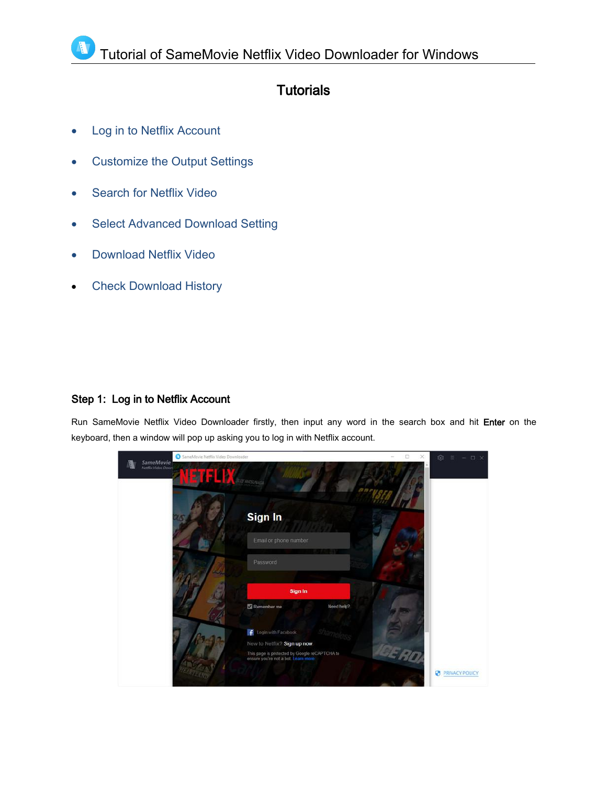## **Tutorials**

- Log in to Netflix [Account](#page-6-1)
- [Customize](#page-7-2) the Output Settings
- [Search](#page-7-3) for Netflix Video
- Select Advanced [Download](#page-8-2) Setting
- [Download](#page-8-3) Netflix Video
- Check [Download](#page-9-1) History

### <span id="page-6-1"></span><span id="page-6-0"></span>Step 1: Log in to Netflix Account

Run SameMovie Netflix Video Downloader firstly, then input any word in the search box and hit Enter on the keyboard, then a window will pop up asking you to log in with Netflix account.

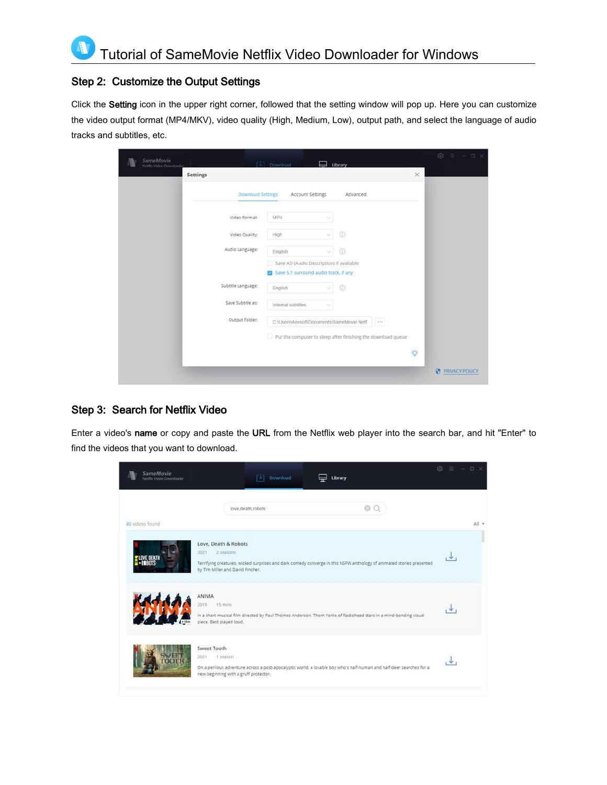### <span id="page-7-2"></span><span id="page-7-0"></span>Step 2: Customize the Output Settings

Click the Setting icon in the upper right corner, followed that the setting window will pop up. Here you can customize the video output format (MP4/MKV), video quality (High, Medium, Low), output path, and select the language of audio tracks and subtitles, etc.

| SameMovie<br>Netflix Video Dawnloader. |                    | $\begin{bmatrix} \downarrow \\ \downarrow \end{bmatrix}$ Download                 | Library |            |     |        | @ 三 - □ ×                  |
|----------------------------------------|--------------------|-----------------------------------------------------------------------------------|---------|------------|-----|--------|----------------------------|
|                                        | Settings           |                                                                                   |         |            |     | X      |                            |
|                                        | Download Settings  | Account Settings                                                                  |         | Advanced   |     |        |                            |
|                                        | Video Format:      | MP4                                                                               |         |            |     |        |                            |
|                                        | Video Quality:     | High                                                                              | ×,      | $^{\circ}$ |     |        |                            |
|                                        | Audio Language:    | English                                                                           | v.      | $\odot$    |     |        |                            |
|                                        |                    | Save AD (Audio Description) if avaliable<br>Save 5.1 surround audio track, if any |         |            |     |        |                            |
|                                        | Subtitle Language: | English                                                                           | $\sim$  | $\odot$    |     |        |                            |
|                                        | Save Subtitle as:  | Internal subtitles                                                                |         |            |     |        |                            |
|                                        | Output Folder:     | C:\Users\Anvsoft\Documents\SameMovie Netf                                         |         |            | 448 |        |                            |
|                                        |                    | Put the computer to sleep after finishing the download queue                      |         |            |     |        |                            |
|                                        |                    |                                                                                   |         |            |     | $\phi$ |                            |
|                                        |                    |                                                                                   |         |            |     |        | ø<br><b>PRIVACY POLICY</b> |

### <span id="page-7-3"></span><span id="page-7-1"></span>Step 3: Search for Netflix Video

Enter a video's name or copy and paste the URL from the Netflix web player into the search bar, and hit "Enter" to find the videos that you want to download.

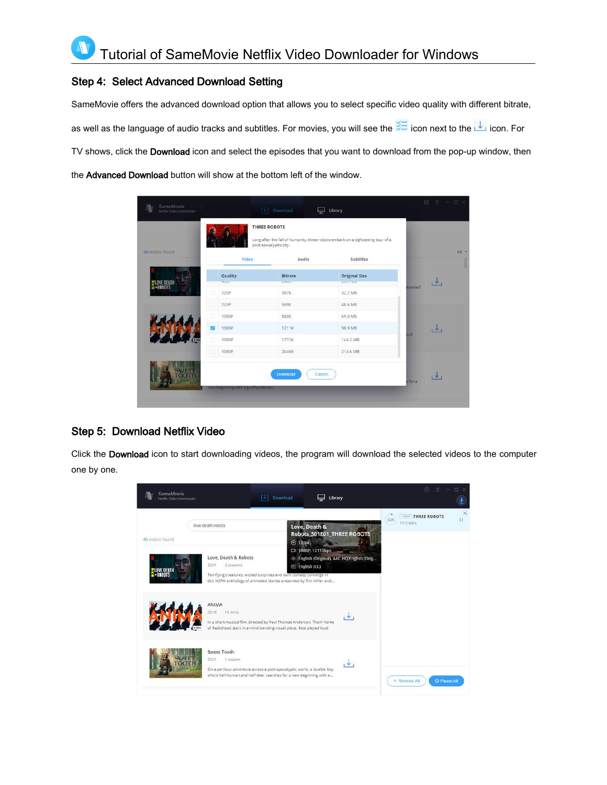### <span id="page-8-2"></span><span id="page-8-0"></span>Step 4: Select Advanced Download Setting

SameMovie offers the advanced download option that allows you to select specific video quality with different bitrate, as well as the language of audio tracks and subtitles. For movies, you will see the  $\frac{1}{100}$  icon next to the  $\frac{1}{100}$  icon. For TV shows, click the Download icon and select the episodes that you want to download from the pop-up window, then the Advanced Download button will show at the bottom left of the window.

| 40 videos found                            |   |                    | post-apocalyptic city.     | Long after the fall of humanity, three robots embark on a sightseeing tour of a |                |       |
|--------------------------------------------|---|--------------------|----------------------------|---------------------------------------------------------------------------------|----------------|-------|
|                                            |   | Video              | Audio                      | Subtitles                                                                       |                |       |
|                                            |   | Quality<br>$+0.00$ | Bitrate<br><b>ACTIVITY</b> | <b>Original Size</b><br><b>ANGELIA</b>                                          |                | الحال |
| <b>WLOVE DEATH</b><br><del>M</del> +ROBOTS | G | 720P               | 387K                       | 32.2 MB                                                                         | <b>isanted</b> |       |
|                                            | m | 720P               | 589K                       | 48.6 MB                                                                         |                |       |
|                                            | o | 1080P              | 840K                       | 69.0 MB                                                                         |                |       |
|                                            | ◙ | 1080P              | 1211K                      | 98.9 MB                                                                         | lisus          | اللار |
|                                            | ā | 1080P              | 1772K                      | 144.2 MB                                                                        |                |       |
|                                            |   | 1080P              | 2646K                      | 214.6 MB                                                                        |                |       |
|                                            |   |                    |                            |                                                                                 |                |       |

### <span id="page-8-3"></span><span id="page-8-1"></span>Step 5: Download Netflix Video

Click the Download icon to start downloading videos, the program will download the selected videos to the computer one by one.

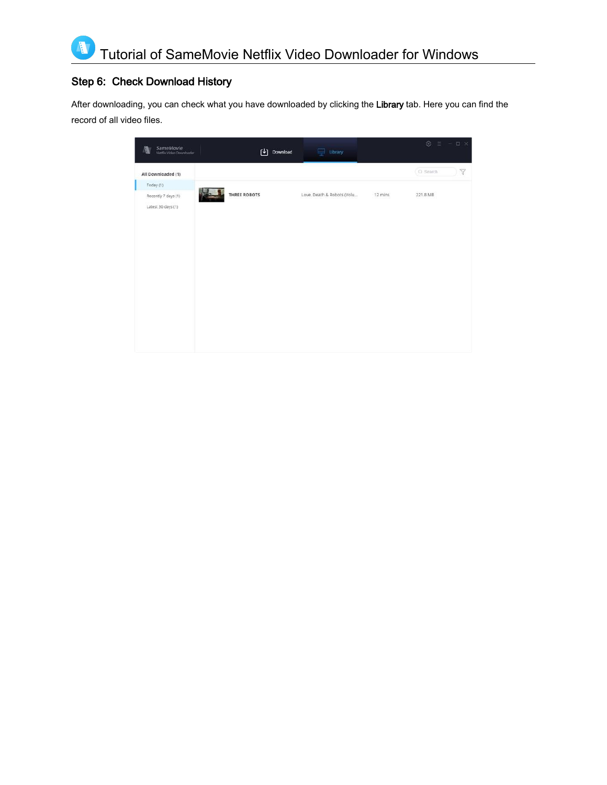### Step 6: Check Download History

<span id="page-9-1"></span><span id="page-9-0"></span>Ą

After downloading, you can check what you have downloaded by clicking the Library tab. Here you can find the record of all video files.

| SameMovie<br>Netflix Video Downloader<br>Ø | 凹<br>Download | $\overline{\mathbf{r}}$ Library |         | <b>©</b> Ξ - □ × |
|--------------------------------------------|---------------|---------------------------------|---------|------------------|
| All Downloaded (1)                         |               |                                 |         | Y<br>Q Search    |
| Today (1)                                  |               |                                 |         |                  |
| Recently 7 days (1)                        | THREE ROBOTS  | Love, Death & Robots (Volu      | 12 mins | 221.8 MB         |
| Latest 30 days (1)                         |               |                                 |         |                  |
|                                            |               |                                 |         |                  |
|                                            |               |                                 |         |                  |
|                                            |               |                                 |         |                  |
|                                            |               |                                 |         |                  |
|                                            |               |                                 |         |                  |
|                                            |               |                                 |         |                  |
|                                            |               |                                 |         |                  |
|                                            |               |                                 |         |                  |
|                                            |               |                                 |         |                  |
|                                            |               |                                 |         |                  |
|                                            |               |                                 |         |                  |
|                                            |               |                                 |         |                  |